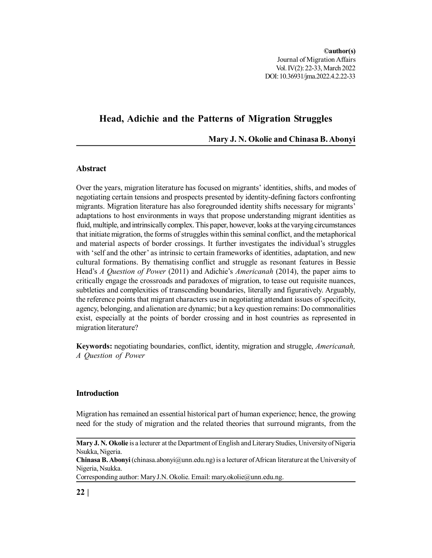**©author(s)** Journal of Migration Affairs Vol. IV(2): 22-33, March 2022 DOI: 10.36931/jma.2022.4.2.22-33

# **Head, Adichie and the Patterns of Migration Struggles**

**Mary J. N. Okolie and Chinasa B. Abonyi**

# **Abstract**

Over the years, migration literature has focused on migrants' identities, shifts, and modes of negotiating certain tensions and prospects presented by identity-defining factors confronting migrants. Migration literature has also foregrounded identity shifts necessary for migrants' adaptations to host environments in ways that propose understanding migrant identities as fluid, multiple, and intrinsically complex. This paper, however, looks at the varying circumstances that initiate migration, the forms of struggles within this seminal conflict, and the metaphorical and material aspects of border crossings. It further investigates the individual's struggles with 'self and the other' as intrinsic to certain frameworks of identities, adaptation, and new cultural formations. By thematising conflict and struggle as resonant features in Bessie Head's *A Question of Power* (2011) and Adichie's *Americanah* (2014), the paper aims to critically engage the crossroads and paradoxes of migration, to tease out requisite nuances, subtleties and complexities of transcending boundaries, literally and figuratively. Arguably, the reference points that migrant characters use in negotiating attendant issues of specificity, agency, belonging, and alienation are dynamic; but a key question remains: Do commonalities exist, especially at the points of border crossing and in host countries as represented in migration literature?

**Keywords:** negotiating boundaries, conflict, identity, migration and struggle, *Americanah, A Question of Power*

## **Introduction**

Migration has remained an essential historical part of human experience; hence, the growing need for the study of migration and the related theories that surround migrants, from the

Corresponding author: Mary J.N. Okolie. Email: mary.okolie@unn.edu.ng.

**Mary J. N. Okolie** is a lecturer at the Department of English and Literary Studies, University of Nigeria Nsukka, Nigeria.

**Chinasa B. Abonyi** (chinasa.abonyi@unn.edu.ng) is a lecturer of African literature at the University of Nigeria, Nsukka.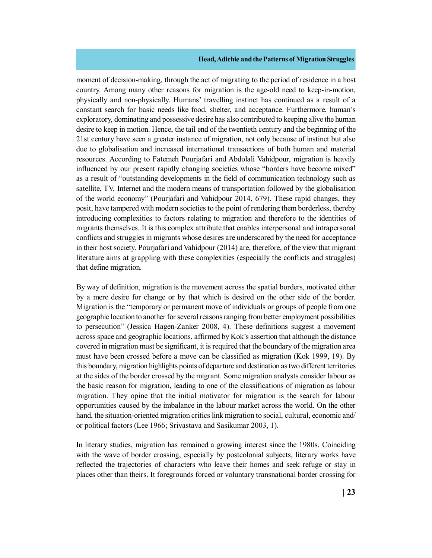moment of decision-making, through the act of migrating to the period of residence in a host country. Among many other reasons for migration is the age-old need to keep-in-motion, physically and non-physically. Humans' travelling instinct has continued as a result of a constant search for basic needs like food, shelter, and acceptance. Furthermore, human's exploratory, dominating and possessive desire has also contributed to keeping alive the human desire to keep in motion. Hence, the tail end of the twentieth century and the beginning of the 21st century have seen a greater instance of migration, not only because of instinct but also due to globalisation and increased international transactions of both human and material resources. According to Fatemeh Pourjafari and Abdolali Vahidpour, migration is heavily influenced by our present rapidly changing societies whose "borders have become mixed" as a result of "outstanding developments in the field of communication technology such as satellite, TV, Internet and the modern means of transportation followed by the globalisation of the world economy" (Pourjafari and Vahidpour 2014, 679). These rapid changes, they posit, have tampered with modern societies to the point of rendering them borderless, thereby introducing complexities to factors relating to migration and therefore to the identities of migrants themselves. It is this complex attribute that enables interpersonal and intrapersonal conflicts and struggles in migrants whose desires are underscored by the need for acceptance in their host society. Pourjafari and Vahidpour (2014) are, therefore, of the view that migrant literature aims at grappling with these complexities (especially the conflicts and struggles) that define migration.

By way of definition, migration is the movement across the spatial borders, motivated either by a mere desire for change or by that which is desired on the other side of the border. Migration is the "temporary or permanent move of individuals or groups of people from one geographic location to another for several reasons ranging from better employment possibilities to persecution" (Jessica Hagen-Zanker 2008, 4). These definitions suggest a movement across space and geographic locations, affirmed by Kok's assertion that although the distance covered in migration must be significant, it is required that the boundary of the migration area must have been crossed before a move can be classified as migration (Kok 1999, 19). By this boundary, migration highlights points of departure and destination as two different territories at the sides of the border crossed by the migrant. Some migration analysts consider labour as the basic reason for migration, leading to one of the classifications of migration as labour migration. They opine that the initial motivator for migration is the search for labour opportunities caused by the imbalance in the labour market across the world. On the other hand, the situation-oriented migration critics link migration to social, cultural, economic and/ or political factors (Lee 1966; Srivastava and Sasikumar 2003, 1).

In literary studies, migration has remained a growing interest since the 1980s. Coinciding with the wave of border crossing, especially by postcolonial subjects, literary works have reflected the trajectories of characters who leave their homes and seek refuge or stay in places other than theirs. It foregrounds forced or voluntary transnational border crossing for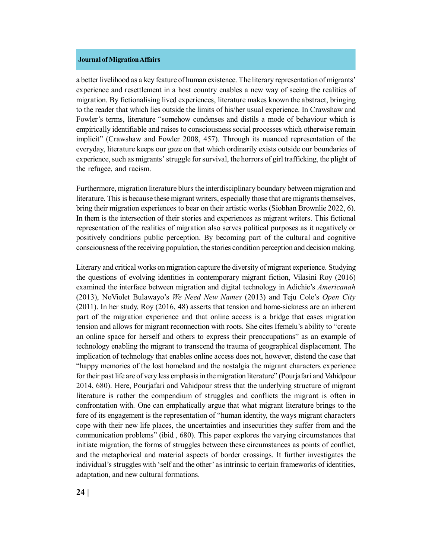a better livelihood as a key feature of human existence. The literary representation of migrants' experience and resettlement in a host country enables a new way of seeing the realities of migration. By fictionalising lived experiences, literature makes known the abstract, bringing to the reader that which lies outside the limits of his/her usual experience. In Crawshaw and Fowler's terms, literature "somehow condenses and distils a mode of behaviour which is empirically identifiable and raises to consciousness social processes which otherwise remain implicit" (Crawshaw and Fowler 2008, 457). Through its nuanced representation of the everyday, literature keeps our gaze on that which ordinarily exists outside our boundaries of experience, such as migrants' struggle for survival, the horrors of girl trafficking, the plight of the refugee, and racism.

Furthermore, migration literature blurs the interdisciplinary boundary between migration and literature. This is because these migrant writers, especially those that are migrants themselves, bring their migration experiences to bear on their artistic works (Siobhan Brownlie 2022, 6). In them is the intersection of their stories and experiences as migrant writers. This fictional representation of the realities of migration also serves political purposes as it negatively or positively conditions public perception. By becoming part of the cultural and cognitive consciousness of the receiving population, the stories condition perception and decision making.

Literary and critical works on migration capture the diversity of migrant experience. Studying the questions of evolving identities in contemporary migrant fiction, Vilasini Roy (2016) examined the interface between migration and digital technology in Adichie's *Americanah* (2013), NoViolet Bulawayo's *We Need New Names* (2013) and Teju Cole's *Open City* (2011). In her study, Roy (2016, 48) asserts that tension and home-sickness are an inherent part of the migration experience and that online access is a bridge that eases migration tension and allows for migrant reconnection with roots. She cites Ifemelu's ability to "create an online space for herself and others to express their preoccupations" as an example of technology enabling the migrant to transcend the trauma of geographical displacement. The implication of technology that enables online access does not, however, distend the case that "happy memories of the lost homeland and the nostalgia the migrant characters experience for their past life are of very less emphasis in the migration literature" (Pourjafari and Vahidpour 2014, 680). Here, Pourjafari and Vahidpour stress that the underlying structure of migrant literature is rather the compendium of struggles and conflicts the migrant is often in confrontation with. One can emphatically argue that what migrant literature brings to the fore of its engagement is the representation of "human identity, the ways migrant characters cope with their new life places, the uncertainties and insecurities they suffer from and the communication problems" (ibid*.*, 680). This paper explores the varying circumstances that initiate migration, the forms of struggles between these circumstances as points of conflict, and the metaphorical and material aspects of border crossings. It further investigates the individual's struggles with 'self and the other' as intrinsic to certain frameworks of identities, adaptation, and new cultural formations.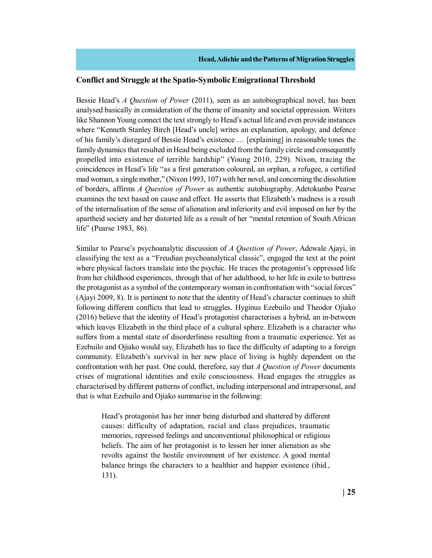## **Conflict and Struggle at the Spatio-Symbolic Emigrational Threshold**

Bessie Head's *A Question of Power* (2011), seen as an autobiographical novel, has been analysed basically in consideration of the theme of insanity and societal oppression. Writers like Shannon Young connect the text strongly to Head's actual life and even provide instances where "Kenneth Stanley Birch [Head's uncle] writes an explanation, apology, and defence of his family's disregard of Bessie Head's existence … [explaining] in reasonable tones the family dynamics that resulted in Head being excluded from the family circle and consequently propelled into existence of terrible hardship" (Young 2010, 229). Nixon, tracing the coincidences in Head's life "as a first generation coloured, an orphan, a refugee, a certified mad woman, a single mother," (Nixon 1993, 107) with her novel, and concerning the dissolution of borders, affirms *A Question of Power* as authentic autobiography. Adetokunbo Pearse examines the text based on cause and effect. He asserts that Elizabeth's madness is a result of the internalisation of the sense of alienation and inferiority and evil imposed on her by the apartheid society and her distorted life as a result of her "mental retention of South African life" (Pearse 1983, 86).

Similar to Pearse's psychoanalytic discussion of *A Question of Power*, Adewale Ajayi, in classifying the text as a "Freudian psychoanalytical classic", engaged the text at the point where physical factors translate into the psychic. He traces the protagonist's oppressed life from her childhood experiences, through that of her adulthood, to her life in exile to buttress the protagonist as a symbol of the contemporary woman in confrontation with "social forces" (Ajayi 2009, 8). It is pertinent to note that the identity of Head's character continues to shift following different conflicts that lead to struggles. Hyginus Ezebuilo and Theodor Ojiako (2016) believe that the identity of Head's protagonist characterises a hybrid, an in-between which leaves Elizabeth in the third place of a cultural sphere. Elizabeth is a character who suffers from a mental state of disorderliness resulting from a traumatic experience. Yet as Ezebuilo and Ojiako would say, Elizabeth has to face the difficulty of adapting to a foreign community. Elizabeth's survival in her new place of living is highly dependent on the confrontation with her past. One could, therefore, say that *A Question of Power* documents crises of migrational identities and exile consciousness. Head engages the struggles as characterised by different patterns of conflict, including interpersonal and intrapersonal, and that is what Ezebuilo and Ojiako summarise in the following:

Head's protagonist has her inner being disturbed and shattered by different causes: difficulty of adaptation, racial and class prejudices, traumatic memories, repressed feelings and unconventional philosophical or religious beliefs. The aim of her protagonist is to lessen her inner alienation as she revolts against the hostile environment of her existence. A good mental balance brings the characters to a healthier and happier existence (ibid*.*, 131).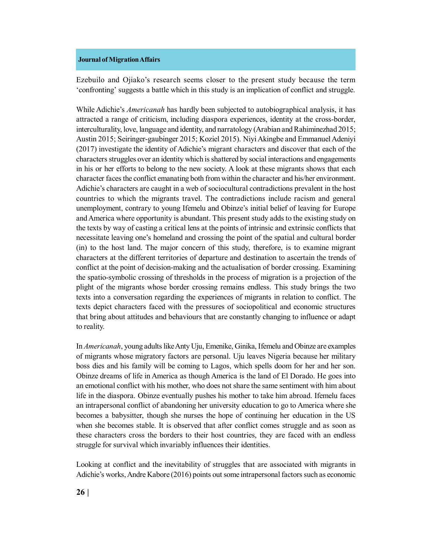Ezebuilo and Ojiako's research seems closer to the present study because the term 'confronting' suggests a battle which in this study is an implication of conflict and struggle.

While Adichie's *Americanah* has hardly been subjected to autobiographical analysis, it has attracted a range of criticism, including diaspora experiences, identity at the cross-border, interculturality, love, language and identity, and narratology (Arabian and Rahiminezhad 2015; Austin 2015; Seiringer-gaubinger 2015; Koziel 2015). Niyi Akingbe and Emmanuel Adeniyi (2017) investigate the identity of Adichie's migrant characters and discover that each of the characters struggles over an identity which is shattered by social interactions and engagements in his or her efforts to belong to the new society. A look at these migrants shows that each character faces the conflict emanating both from within the character and his/her environment. Adichie's characters are caught in a web of sociocultural contradictions prevalent in the host countries to which the migrants travel. The contradictions include racism and general unemployment, contrary to young Ifemelu and Obinze's initial belief of leaving for Europe and America where opportunity is abundant. This present study adds to the existing study on the texts by way of casting a critical lens at the points of intrinsic and extrinsic conflicts that necessitate leaving one's homeland and crossing the point of the spatial and cultural border (in) to the host land. The major concern of this study, therefore, is to examine migrant characters at the different territories of departure and destination to ascertain the trends of conflict at the point of decision-making and the actualisation of border crossing. Examining the spatio-symbolic crossing of thresholds in the process of migration is a projection of the plight of the migrants whose border crossing remains endless. This study brings the two texts into a conversation regarding the experiences of migrants in relation to conflict. The texts depict characters faced with the pressures of sociopolitical and economic structures that bring about attitudes and behaviours that are constantly changing to influence or adapt to reality.

In *Americanah*, young adults like Anty Uju, Emenike, Ginika, Ifemelu and Obinze are examples of migrants whose migratory factors are personal. Uju leaves Nigeria because her military boss dies and his family will be coming to Lagos, which spells doom for her and her son. Obinze dreams of life in America as though America is the land of El Dorado. He goes into an emotional conflict with his mother, who does not share the same sentiment with him about life in the diaspora. Obinze eventually pushes his mother to take him abroad. Ifemelu faces an intrapersonal conflict of abandoning her university education to go to America where she becomes a babysitter, though she nurses the hope of continuing her education in the US when she becomes stable. It is observed that after conflict comes struggle and as soon as these characters cross the borders to their host countries, they are faced with an endless struggle for survival which invariably influences their identities.

Looking at conflict and the inevitability of struggles that are associated with migrants in Adichie's works, Andre Kabore (2016) points out some intrapersonal factors such as economic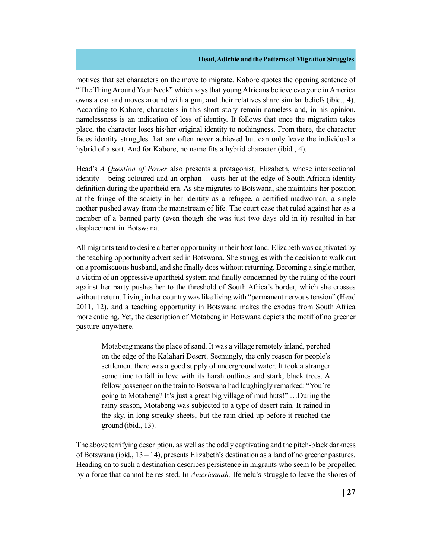motives that set characters on the move to migrate. Kabore quotes the opening sentence of "The Thing Around Your Neck" which says that young Africans believe everyone in America owns a car and moves around with a gun, and their relatives share similar beliefs (ibid*.*, 4). According to Kabore, characters in this short story remain nameless and, in his opinion, namelessness is an indication of loss of identity. It follows that once the migration takes place, the character loses his/her original identity to nothingness. From there, the character faces identity struggles that are often never achieved but can only leave the individual a hybrid of a sort. And for Kabore, no name fits a hybrid character (ibid*.*, 4).

Head's *A Question of Power* also presents a protagonist, Elizabeth, whose intersectional identity – being coloured and an orphan – casts her at the edge of South African identity definition during the apartheid era. As she migrates to Botswana, she maintains her position at the fringe of the society in her identity as a refugee, a certified madwoman, a single mother pushed away from the mainstream of life. The court case that ruled against her as a member of a banned party (even though she was just two days old in it) resulted in her displacement in Botswana.

All migrants tend to desire a better opportunity in their host land. Elizabeth was captivated by the teaching opportunity advertised in Botswana. She struggles with the decision to walk out on a promiscuous husband, and she finally does without returning. Becoming a single mother, a victim of an oppressive apartheid system and finally condemned by the ruling of the court against her party pushes her to the threshold of South Africa's border, which she crosses without return. Living in her country was like living with "permanent nervous tension" (Head 2011, 12), and a teaching opportunity in Botswana makes the exodus from South Africa more enticing. Yet, the description of Motabeng in Botswana depicts the motif of no greener pasture anywhere.

Motabeng means the place of sand. It was a village remotely inland, perched on the edge of the Kalahari Desert. Seemingly, the only reason for people's settlement there was a good supply of underground water. It took a stranger some time to fall in love with its harsh outlines and stark, black trees. A fellow passenger on the train to Botswana had laughingly remarked: "You're going to Motabeng? It's just a great big village of mud huts!" …During the rainy season, Motabeng was subjected to a type of desert rain. It rained in the sky, in long streaky sheets, but the rain dried up before it reached the ground (ibid., 13).

The above terrifying description, as well as the oddly captivating and the pitch-black darkness of Botswana (ibid.,  $13 - 14$ ), presents Elizabeth's destination as a land of no greener pastures. Heading on to such a destination describes persistence in migrants who seem to be propelled by a force that cannot be resisted. In *Americanah,* Ifemelu's struggle to leave the shores of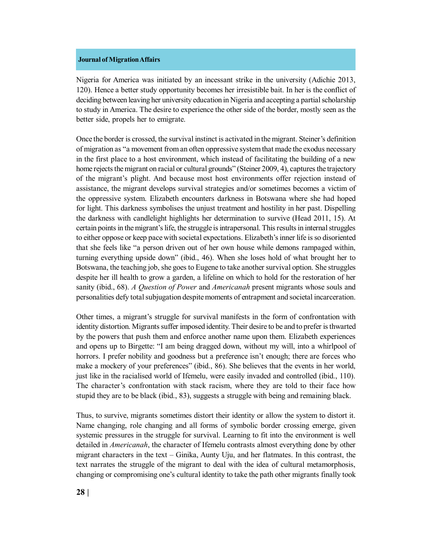Nigeria for America was initiated by an incessant strike in the university (Adichie 2013, 120). Hence a better study opportunity becomes her irresistible bait. In her is the conflict of deciding between leaving her university education in Nigeria and accepting a partial scholarship to study in America. The desire to experience the other side of the border, mostly seen as the better side, propels her to emigrate.

Once the border is crossed, the survival instinct is activated in the migrant. Steiner's definition of migration as "a movement from an often oppressive system that made the exodus necessary in the first place to a host environment, which instead of facilitating the building of a new home rejects the migrant on racial or cultural grounds" (Steiner 2009, 4), captures the trajectory of the migrant's plight. And because most host environments offer rejection instead of assistance, the migrant develops survival strategies and/or sometimes becomes a victim of the oppressive system. Elizabeth encounters darkness in Botswana where she had hoped for light. This darkness symbolises the unjust treatment and hostility in her past. Dispelling the darkness with candlelight highlights her determination to survive (Head 2011, 15). At certain points in the migrant's life, the struggle is intrapersonal. This results in internal struggles to either oppose or keep pace with societal expectations. Elizabeth's inner life is so disoriented that she feels like "a person driven out of her own house while demons rampaged within, turning everything upside down" (ibid., 46). When she loses hold of what brought her to Botswana, the teaching job, she goes to Eugene to take another survival option. She struggles despite her ill health to grow a garden, a lifeline on which to hold for the restoration of her sanity (ibid., 68). *A Question of Power* and *Americanah* present migrants whose souls and personalities defy total subjugation despite moments of entrapment and societal incarceration.

Other times, a migrant's struggle for survival manifests in the form of confrontation with identity distortion. Migrants suffer imposed identity. Their desire to be and to prefer is thwarted by the powers that push them and enforce another name upon them. Elizabeth experiences and opens up to Birgette: "I am being dragged down, without my will, into a whirlpool of horrors. I prefer nobility and goodness but a preference isn't enough; there are forces who make a mockery of your preferences" (ibid., 86). She believes that the events in her world, just like in the racialised world of Ifemelu, were easily invaded and controlled (ibid., 110). The character's confrontation with stack racism, where they are told to their face how stupid they are to be black (ibid., 83), suggests a struggle with being and remaining black.

Thus, to survive, migrants sometimes distort their identity or allow the system to distort it. Name changing, role changing and all forms of symbolic border crossing emerge, given systemic pressures in the struggle for survival. Learning to fit into the environment is well detailed in *Americanah*, the character of Ifemelu contrasts almost everything done by other migrant characters in the text – Ginika, Aunty Uju, and her flatmates. In this contrast, the text narrates the struggle of the migrant to deal with the idea of cultural metamorphosis, changing or compromising one's cultural identity to take the path other migrants finally took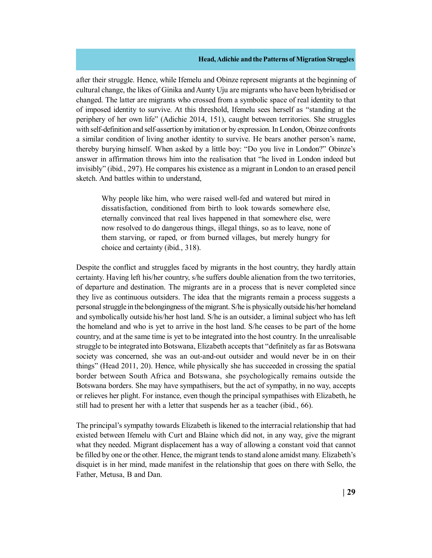after their struggle. Hence, while Ifemelu and Obinze represent migrants at the beginning of cultural change, the likes of Ginika and Aunty Uju are migrants who have been hybridised or changed. The latter are migrants who crossed from a symbolic space of real identity to that of imposed identity to survive. At this threshold, Ifemelu sees herself as "standing at the periphery of her own life" (Adichie 2014, 151), caught between territories. She struggles with self-definition and self-assertion by imitation or by expression. In London, Obinze confronts a similar condition of living another identity to survive. He bears another person's name, thereby burying himself. When asked by a little boy: "Do you live in London?" Obinze's answer in affirmation throws him into the realisation that "he lived in London indeed but invisibly" (ibid., 297). He compares his existence as a migrant in London to an erased pencil sketch. And battles within to understand,

Why people like him, who were raised well-fed and watered but mired in dissatisfaction, conditioned from birth to look towards somewhere else, eternally convinced that real lives happened in that somewhere else, were now resolved to do dangerous things, illegal things, so as to leave, none of them starving, or raped, or from burned villages, but merely hungry for choice and certainty (ibid., 318).

Despite the conflict and struggles faced by migrants in the host country, they hardly attain certainty. Having left his/her country, s/he suffers double alienation from the two territories, of departure and destination. The migrants are in a process that is never completed since they live as continuous outsiders. The idea that the migrants remain a process suggests a personal struggle in the belongingness of the migrant. S/he is physically outside his/her homeland and symbolically outside his/her host land. S/he is an outsider, a liminal subject who has left the homeland and who is yet to arrive in the host land. S/he ceases to be part of the home country, and at the same time is yet to be integrated into the host country. In the unrealisable struggle to be integrated into Botswana, Elizabeth accepts that "definitely as far as Botswana society was concerned, she was an out-and-out outsider and would never be in on their things" (Head 2011, 20). Hence, while physically she has succeeded in crossing the spatial border between South Africa and Botswana, she psychologically remains outside the Botswana borders. She may have sympathisers, but the act of sympathy, in no way, accepts or relieves her plight. For instance, even though the principal sympathises with Elizabeth, he still had to present her with a letter that suspends her as a teacher (ibid., 66).

The principal's sympathy towards Elizabeth is likened to the interracial relationship that had existed between Ifemelu with Curt and Blaine which did not, in any way, give the migrant what they needed. Migrant displacement has a way of allowing a constant void that cannot be filled by one or the other. Hence, the migrant tends to stand alone amidst many. Elizabeth's disquiet is in her mind, made manifest in the relationship that goes on there with Sello, the Father, Metusa, B and Dan.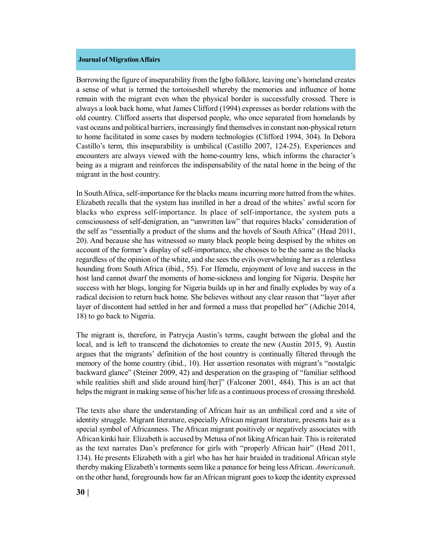Borrowing the figure of inseparability from the Igbo folklore, leaving one's homeland creates a sense of what is termed the tortoiseshell whereby the memories and influence of home remain with the migrant even when the physical border is successfully crossed. There is always a look back home, what James Clifford (1994) expresses as border relations with the old country. Clifford asserts that dispersed people, who once separated from homelands by vast oceans and political barriers, increasingly find themselves in constant non-physical return to home facilitated in some cases by modern technologies (Clifford 1994, 304). In Debora Castillo's term, this inseparability is umbilical (Castillo 2007, 124-25). Experiences and encounters are always viewed with the home-country lens, which informs the character's being as a migrant and reinforces the indispensability of the natal home in the being of the migrant in the host country.

In South Africa, self-importance for the blacks means incurring more hatred from the whites. Elizabeth recalls that the system has instilled in her a dread of the whites' awful scorn for blacks who express self-importance. In place of self-importance, the system puts a consciousness of self-denigration, an "unwritten law" that requires blacks' consideration of the self as "essentially a product of the slums and the hovels of South Africa" (Head 2011, 20). And because she has witnessed so many black people being despised by the whites on account of the former's display of self-importance, she chooses to be the same as the blacks regardless of the opinion of the white, and she sees the evils overwhelming her as a relentless hounding from South Africa (ibid., 55). For Ifemelu, enjoyment of love and success in the host land cannot dwarf the moments of home-sickness and longing for Nigeria. Despite her success with her blogs, longing for Nigeria builds up in her and finally explodes by way of a radical decision to return back home. She believes without any clear reason that "layer after layer of discontent had settled in her and formed a mass that propelled her" (Adichie 2014, 18) to go back to Nigeria.

The migrant is, therefore, in Patrycja Austin's terms, caught between the global and the local, and is left to transcend the dichotomies to create the new (Austin 2015, 9). Austin argues that the migrants' definition of the host country is continually filtered through the memory of the home country (ibid., 10). Her assertion resonates with migrant's "nostalgic backward glance" (Steiner 2009, 42) and desperation on the grasping of "familiar selfhood while realities shift and slide around him $[/her]$ " (Falconer 2001, 484). This is an act that helps the migrant in making sense of his/her life as a continuous process of crossing threshold.

The texts also share the understanding of African hair as an umbilical cord and a site of identity struggle. Migrant literature, especially African migrant literature, presents hair as a special symbol of Africanness. The African migrant positively or negatively associates with African kinki hair. Elizabeth is accused by Metusa of not liking African hair. This is reiterated as the text narrates Dan's preference for girls with "properly African hair" (Head 2011, 134). He presents Elizabeth with a girl who has her hair braided in traditional African style thereby making Elizabeth's torments seem like a penance for being less African. *Americanah,* on the other hand, foregrounds how far an African migrant goes to keep the identity expressed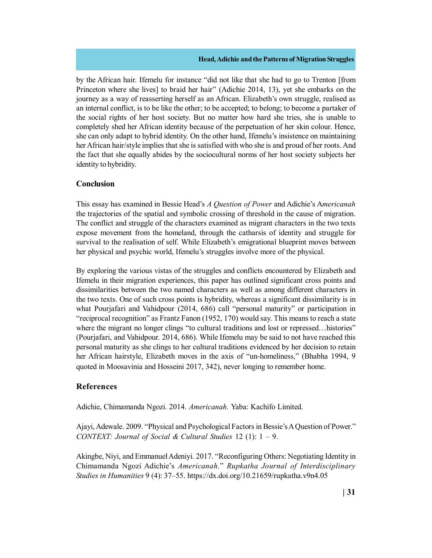by the African hair. Ifemelu for instance "did not like that she had to go to Trenton [from Princeton where she lives] to braid her hair" (Adichie 2014, 13), yet she embarks on the journey as a way of reasserting herself as an African. Elizabeth's own struggle, realised as an internal conflict, is to be like the other; to be accepted; to belong; to become a partaker of the social rights of her host society. But no matter how hard she tries, she is unable to completely shed her African identity because of the perpetuation of her skin colour. Hence, she can only adapt to hybrid identity. On the other hand, Ifemelu's insistence on maintaining her African hair/style implies that she is satisfied with who she is and proud of her roots. And the fact that she equally abides by the sociocultural norms of her host society subjects her identity to hybridity.

## **Conclusion**

This essay has examined in Bessie Head's *A Question of Power* and Adichie's A*mericanah* the trajectories of the spatial and symbolic crossing of threshold in the cause of migration. The conflict and struggle of the characters examined as migrant characters in the two texts expose movement from the homeland, through the catharsis of identity and struggle for survival to the realisation of self. While Elizabeth's emigrational blueprint moves between her physical and psychic world, Ifemelu's struggles involve more of the physical.

By exploring the various vistas of the struggles and conflicts encountered by Elizabeth and Ifemelu in their migration experiences, this paper has outlined significant cross points and dissimilarities between the two named characters as well as among different characters in the two texts. One of such cross points is hybridity, whereas a significant dissimilarity is in what Pourjafari and Vahidpour (2014, 686) call "personal maturity" or participation in "reciprocal recognition" as Frantz Fanon (1952, 170) would say. This means to reach a state where the migrant no longer clings "to cultural traditions and lost or repressed... histories" (Pourjafari, and Vahidpour. 2014, 686). While Ifemelu may be said to not have reached this personal maturity as she clings to her cultural traditions evidenced by her decision to retain her African hairstyle, Elizabeth moves in the axis of "un-homeliness," (Bhabha 1994, 9 quoted in Moosavinia and Hosseini 2017, 342), never longing to remember home.

## **References**

Adichie, Chimamanda Ngozi. 2014. *Americanah.* Yaba: Kachifo Limited.

Ajayi, Adewale. 2009. "Physical and Psychological Factors in Bessie's A Question of Power." *CONTEXT: Journal of Social & Cultural Studies* 12 (1): 1 – 9.

Akingbe, Niyi, and Emmanuel Adeniyi. 2017. "Reconfiguring Others: Negotiating Identity in Chimamanda Ngozi Adichie's *Americanah.*" *Rupkatha Journal of Interdisciplinary Studies in Humanities* 9 (4): 37–55. https://dx.doi.org/10.21659/rupkatha.v9n4.05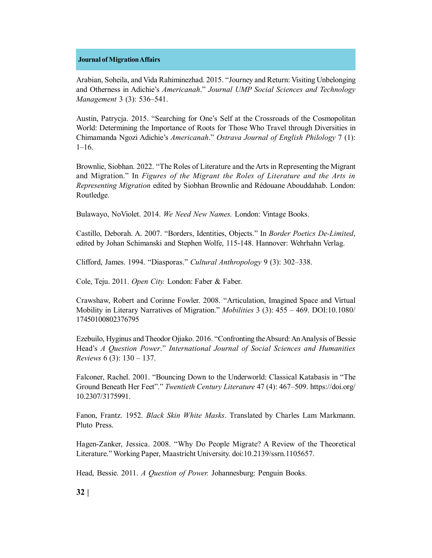Arabian, Soheila, and Vida Rahiminezhad. 2015. "Journey and Return: Visiting Unbelonging and Otherness in Adichie's *Americanah*." *Journal UMP Social Sciences and Technology Management* 3 (3): 536–541.

Austin, Patrycja. 2015. "Searching for One's Self at the Crossroads of the Cosmopolitan World: Determining the Importance of Roots for Those Who Travel through Diversities in Chimamanda Ngozi Adichie's *Americanah*." *Ostrava Journal of English Philology* 7 (1):  $1-16$ .

Brownlie, Siobhan. 2022. "The Roles of Literature and the Arts in Representing the Migrant and Migration." In *Figures of the Migrant the Roles of Literature and the Arts in Representing Migration* edited by Siobhan Brownlie and Rédouane Abouddahab. London: Routledge.

Bulawayo, NoViolet. 2014. *We Need New Names.* London: Vintage Books.

Castillo, Deborah. A. 2007. "Borders, Identities, Objects." In *Border Poetics De-Limited*, edited by Johan Schimanski and Stephen Wolfe, 115-148. Hannover: Wehrhahn Verlag.

Clifford, James. 1994. "Diasporas." *Cultural Anthropology* 9 (3): 302–338.

Cole, Teju. 2011. *Open City.* London: Faber & Faber.

Crawshaw, Robert and Corinne Fowler. 2008. "Articulation, Imagined Space and Virtual Mobility in Literary Narratives of Migration." *Mobilities* 3 (3): 455 – 469. DOI:10.1080/ 17450100802376795

Ezebuilo, Hyginus and Theodor Ojiako. 2016. "Confronting the Absurd: An Analysis of Bessie Head's *A Question Power*." *International Journal of Social Sciences and Humanities Reviews* 6 (3): 130 – 137.

Falconer, Rachel. 2001. "Bouncing Down to the Underworld: Classical Katabasis in "The Ground Beneath Her Feet"." *Twentieth Century Literature* 47 (4): 467–509. https://doi.org/ 10.2307/3175991.

Fanon, Frantz. 1952. *Black Skin White Masks*. Translated by Charles Lam Markmann. Pluto Press.

Hagen-Zanker, Jessica. 2008. "Why Do People Migrate? A Review of the Theoretical Literature." Working Paper, Maastricht University. doi:10.2139/ssrn.1105657.

Head, Bessie. 2011. *A Question of Power.* Johannesburg: Penguin Books.

**32 |**